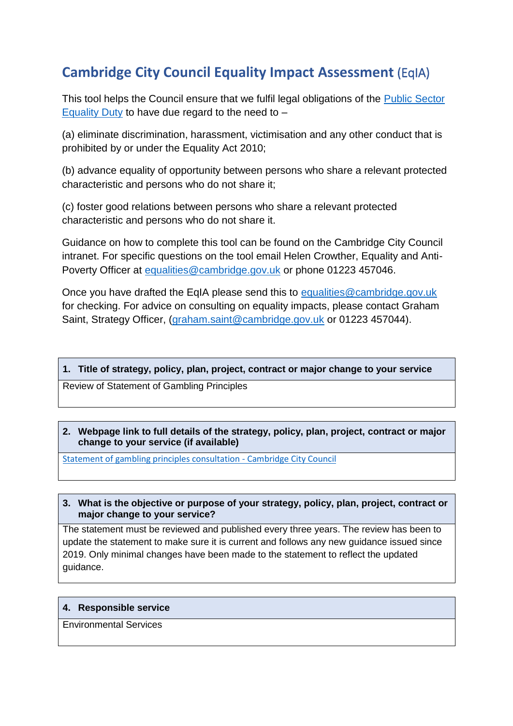# **Cambridge City Council Equality Impact Assessment** (EqIA)

This tool helps the Council ensure that we fulfil legal obligations of the [Public Sector](https://www.gov.uk/government/publications/public-sector-equality-duty)  [Equality Duty](https://www.gov.uk/government/publications/public-sector-equality-duty) to have due regard to the need to  $-$ 

(a) eliminate discrimination, harassment, victimisation and any other conduct that is prohibited by or under the Equality Act 2010;

(b) advance equality of opportunity between persons who share a relevant protected characteristic and persons who do not share it;

(c) foster good relations between persons who share a relevant protected characteristic and persons who do not share it.

Guidance on how to complete this tool can be found on the Cambridge City Council intranet. For specific questions on the tool email Helen Crowther, Equality and Anti-Poverty Officer at [equalities@cambridge.gov.uk](mailto:equalities@cambridge.gov.uk) or phone 01223 457046.

Once you have drafted the EqIA please send this to [equalities@cambridge.gov.uk](mailto:equalities@cambridge.gov.uk) for checking. For advice on consulting on equality impacts, please contact Graham Saint, Strategy Officer, [\(graham.saint@cambridge.gov.uk](mailto:graham.saint@cambridge.gov.uk) or 01223 457044).

## **1. Title of strategy, policy, plan, project, contract or major change to your service**

Review of Statement of Gambling Principles

# **2. Webpage link to full details of the strategy, policy, plan, project, contract or major change to your service (if available)**

[Statement of gambling principles consultation -](https://www.cambridge.gov.uk/consultations/statement-of-gambling-principles-consultation) Cambridge City Council

# **3. What is the objective or purpose of your strategy, policy, plan, project, contract or major change to your service?**

The statement must be reviewed and published every three years. The review has been to update the statement to make sure it is current and follows any new guidance issued since 2019. Only minimal changes have been made to the statement to reflect the updated guidance.

## **4. Responsible service**

Environmental Services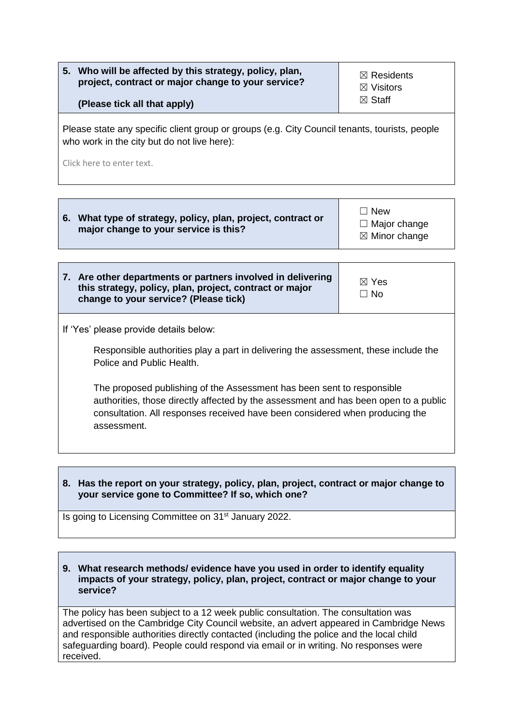| Who will be affected by this strategy, policy, plan,<br>5.<br>project, contract or major change to your service?<br>(Please tick all that apply) | $\boxtimes$ Residents<br>$\boxtimes$ Visitors<br>$\boxtimes$ Staff |
|--------------------------------------------------------------------------------------------------------------------------------------------------|--------------------------------------------------------------------|
| Please state any specific client group or groups (e.g. City Council tenants, tourists, people<br>who work in the city but do not live here):     |                                                                    |
| Click here to enter text.                                                                                                                        |                                                                    |

| 7. Are other departments or partners involved in delivering |
|-------------------------------------------------------------|
| this strategy, policy, plan, project, contract or major     |
| change to your service? (Please tick)                       |

If 'Yes' please provide details below:

Responsible authorities play a part in delivering the assessment, these include the Police and Public Health.

☒ Yes ☐ No

The proposed publishing of the Assessment has been sent to responsible authorities, those directly affected by the assessment and has been open to a public consultation. All responses received have been considered when producing the assessment.

**8. Has the report on your strategy, policy, plan, project, contract or major change to your service gone to Committee? If so, which one?**

Is going to Licensing Committee on 31<sup>st</sup> January 2022.

#### **9. What research methods/ evidence have you used in order to identify equality impacts of your strategy, policy, plan, project, contract or major change to your service?**

The policy has been subject to a 12 week public consultation. The consultation was advertised on the Cambridge City Council website, an advert appeared in Cambridge News and responsible authorities directly contacted (including the police and the local child safeguarding board). People could respond via email or in writing. No responses were received.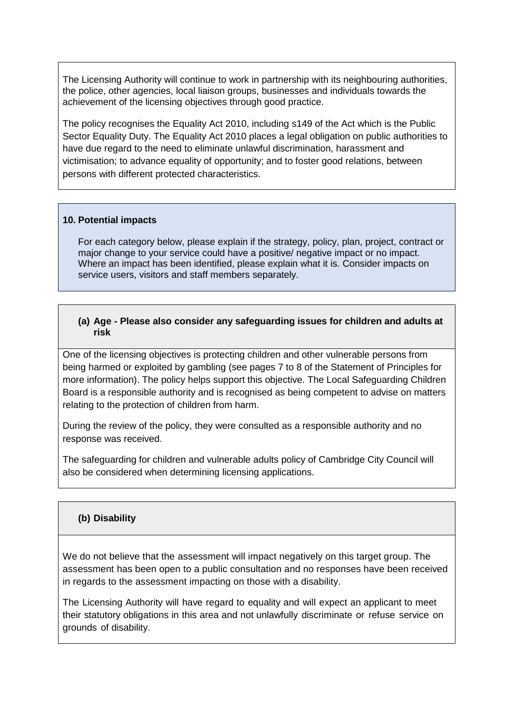The Licensing Authority will continue to work in partnership with its neighbouring authorities, the police, other agencies, local liaison groups, businesses and individuals towards the achievement of the licensing objectives through good practice.

The policy recognises the Equality Act 2010, including s149 of the Act which is the Public Sector Equality Duty. The Equality Act 2010 places a legal obligation on public authorities to have due regard to the need to eliminate unlawful discrimination, harassment and victimisation; to advance equality of opportunity; and to foster good relations, between persons with different protected characteristics.

#### **10. Potential impacts**

For each category below, please explain if the strategy, policy, plan, project, contract or major change to your service could have a positive/ negative impact or no impact. Where an impact has been identified, please explain what it is. Consider impacts on service users, visitors and staff members separately.

#### **(a) Age - Please also consider any safeguarding issues for children and adults at risk**

One of the licensing objectives is protecting children and other vulnerable persons from being harmed or exploited by gambling (see pages 7 to 8 of the Statement of Principles for more information). The policy helps support this objective. The Local Safeguarding Children Board is a responsible authority and is recognised as being competent to advise on matters relating to the protection of children from harm.

During the review of the policy, they were consulted as a responsible authority and no response was received.

The safeguarding for children and vulnerable adults policy of Cambridge City Council will also be considered when determining licensing applications.

## **(b) Disability**

We do not believe that the assessment will impact negatively on this target group. The assessment has been open to a public consultation and no responses have been received in regards to the assessment impacting on those with a disability.

The Licensing Authority will have regard to equality and will expect an applicant to meet their statutory obligations in this area and not unlawfully discriminate or refuse service on grounds of disability.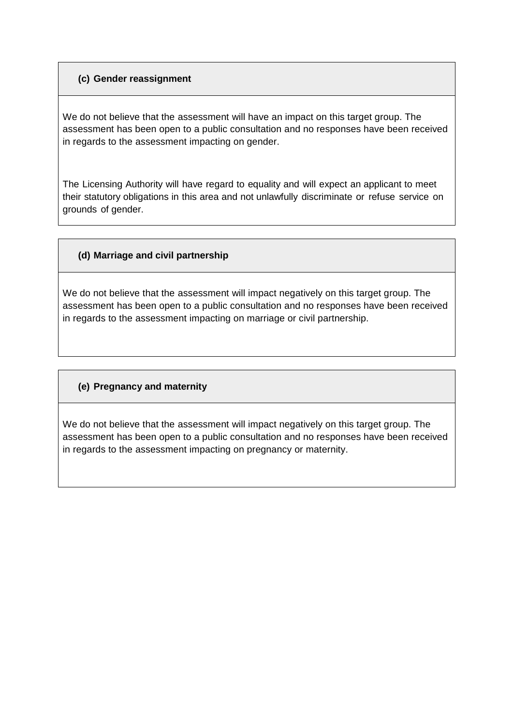# **(c) Gender reassignment**

We do not believe that the assessment will have an impact on this target group. The assessment has been open to a public consultation and no responses have been received in regards to the assessment impacting on gender.

The Licensing Authority will have regard to equality and will expect an applicant to meet their statutory obligations in this area and not unlawfully discriminate or refuse service on grounds of gender.

# **(d) Marriage and civil partnership**

We do not believe that the assessment will impact negatively on this target group. The assessment has been open to a public consultation and no responses have been received in regards to the assessment impacting on marriage or civil partnership.

# **(e) Pregnancy and maternity**

We do not believe that the assessment will impact negatively on this target group. The assessment has been open to a public consultation and no responses have been received in regards to the assessment impacting on pregnancy or maternity.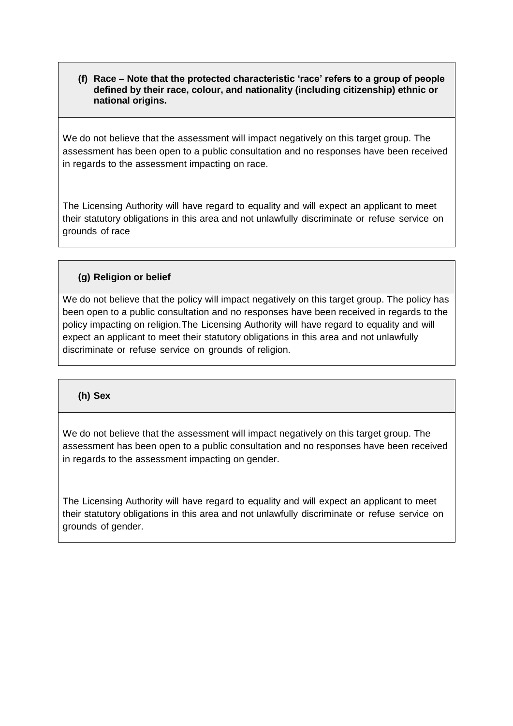**(f) Race – Note that the protected characteristic 'race' refers to a group of people defined by their race, colour, and nationality (including citizenship) ethnic or national origins.**

We do not believe that the assessment will impact negatively on this target group. The assessment has been open to a public consultation and no responses have been received in regards to the assessment impacting on race.

The Licensing Authority will have regard to equality and will expect an applicant to meet their statutory obligations in this area and not unlawfully discriminate or refuse service on grounds of race

## **(g) Religion or belief**

We do not believe that the policy will impact negatively on this target group. The policy has been open to a public consultation and no responses have been received in regards to the policy impacting on religion.The Licensing Authority will have regard to equality and will expect an applicant to meet their statutory obligations in this area and not unlawfully discriminate or refuse service on grounds of religion.

## **(h) Sex**

We do not believe that the assessment will impact negatively on this target group. The assessment has been open to a public consultation and no responses have been received in regards to the assessment impacting on gender.

The Licensing Authority will have regard to equality and will expect an applicant to meet their statutory obligations in this area and not unlawfully discriminate or refuse service on grounds of gender.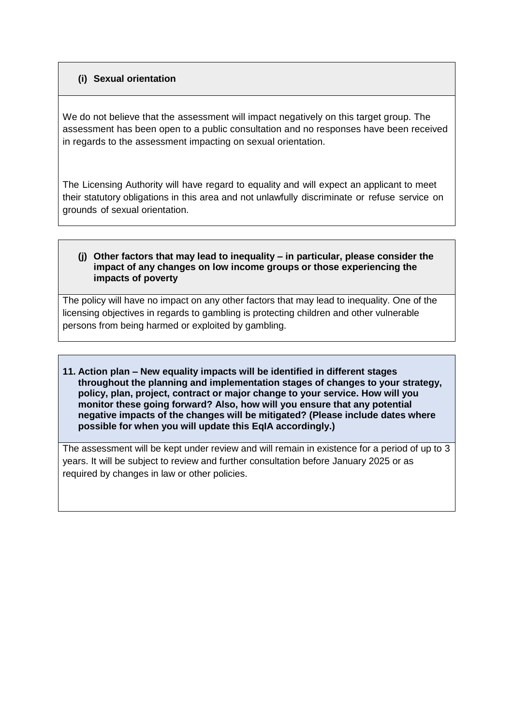# **(i) Sexual orientation**

We do not believe that the assessment will impact negatively on this target group. The assessment has been open to a public consultation and no responses have been received in regards to the assessment impacting on sexual orientation.

The Licensing Authority will have regard to equality and will expect an applicant to meet their statutory obligations in this area and not unlawfully discriminate or refuse service on grounds of sexual orientation.

#### **(j) Other factors that may lead to inequality – in particular, please consider the impact of any changes on low income groups or those experiencing the impacts of poverty**

The policy will have no impact on any other factors that may lead to inequality. One of the licensing objectives in regards to gambling is protecting children and other vulnerable persons from being harmed or exploited by gambling.

**11. Action plan – New equality impacts will be identified in different stages throughout the planning and implementation stages of changes to your strategy, policy, plan, project, contract or major change to your service. How will you monitor these going forward? Also, how will you ensure that any potential negative impacts of the changes will be mitigated? (Please include dates where possible for when you will update this EqIA accordingly.)**

The assessment will be kept under review and will remain in existence for a period of up to 3 years. It will be subject to review and further consultation before January 2025 or as required by changes in law or other policies.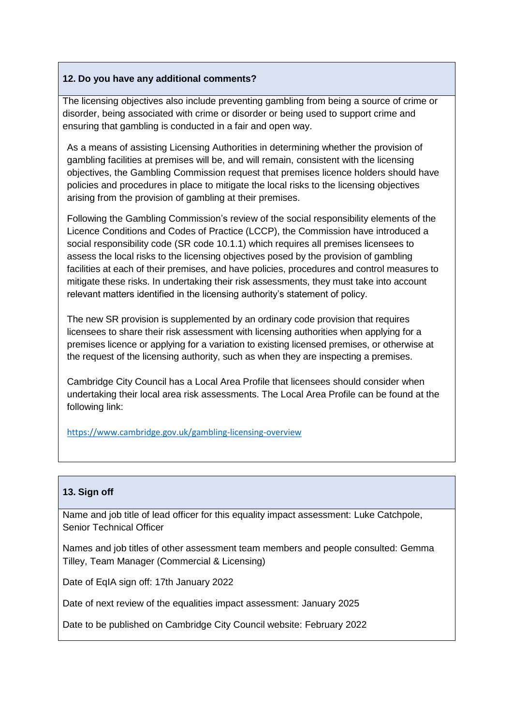# **12. Do you have any additional comments?**

The licensing objectives also include preventing gambling from being a source of crime or disorder, being associated with crime or disorder or being used to support crime and ensuring that gambling is conducted in a fair and open way.

As a means of assisting Licensing Authorities in determining whether the provision of gambling facilities at premises will be, and will remain, consistent with the licensing objectives, the Gambling Commission request that premises licence holders should have policies and procedures in place to mitigate the local risks to the licensing objectives arising from the provision of gambling at their premises.

Following the Gambling Commission's review of the social responsibility elements of the Licence Conditions and Codes of Practice (LCCP), the Commission have introduced a social responsibility code (SR code 10.1.1) which requires all premises licensees to assess the local risks to the licensing objectives posed by the provision of gambling facilities at each of their premises, and have policies, procedures and control measures to mitigate these risks. In undertaking their risk assessments, they must take into account relevant matters identified in the licensing authority's statement of policy.

The new SR provision is supplemented by an ordinary code provision that requires licensees to share their risk assessment with licensing authorities when applying for a premises licence or applying for a variation to existing licensed premises, or otherwise at the request of the licensing authority, such as when they are inspecting a premises.

Cambridge City Council has a Local Area Profile that licensees should consider when undertaking their local area risk assessments. The Local Area Profile can be found at the following link:

<https://www.cambridge.gov.uk/gambling-licensing-overview>

## **13. Sign off**

Name and job title of lead officer for this equality impact assessment: Luke Catchpole, Senior Technical Officer

Names and job titles of other assessment team members and people consulted: Gemma Tilley, Team Manager (Commercial & Licensing)

Date of EqIA sign off: 17th January 2022

Date of next review of the equalities impact assessment: January 2025

Date to be published on Cambridge City Council website: February 2022